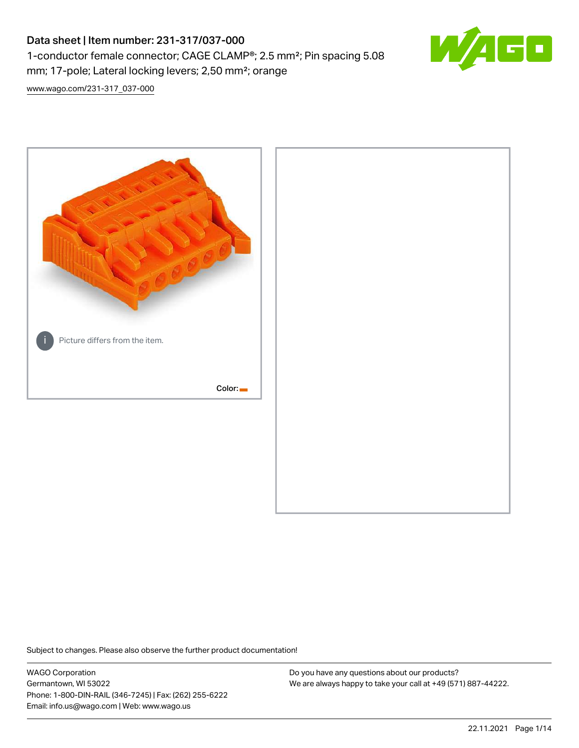# Data sheet | Item number: 231-317/037-000 1-conductor female connector; CAGE CLAMP®; 2.5 mm²; Pin spacing 5.08 mm; 17-pole; Lateral locking levers; 2,50 mm²; orange



[www.wago.com/231-317\\_037-000](http://www.wago.com/231-317_037-000)



Subject to changes. Please also observe the further product documentation!

WAGO Corporation Germantown, WI 53022 Phone: 1-800-DIN-RAIL (346-7245) | Fax: (262) 255-6222 Email: info.us@wago.com | Web: www.wago.us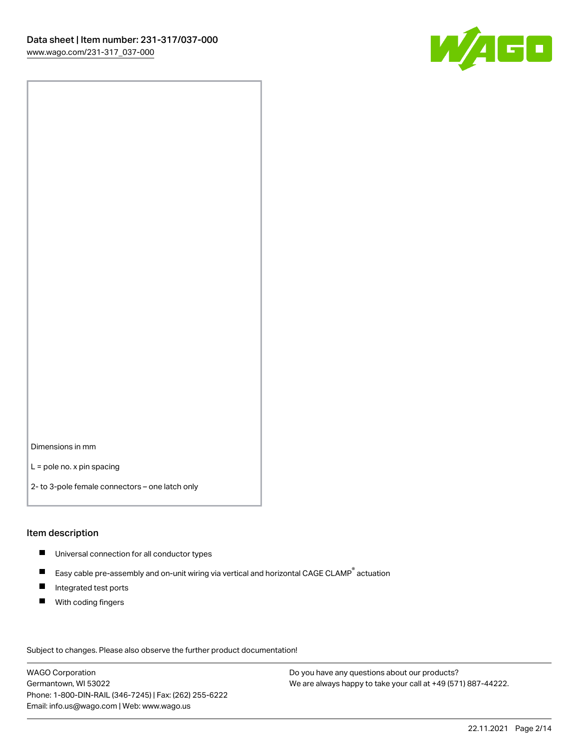

Dimensions in mm

L = pole no. x pin spacing

2- to 3-pole female connectors – one latch only

#### Item description

- **Universal connection for all conductor types**
- Easy cable pre-assembly and on-unit wiring via vertical and horizontal CAGE CLAMP<sup>®</sup> actuation  $\blacksquare$
- $\blacksquare$ Integrated test ports
- $\blacksquare$ With coding fingers

Subject to changes. Please also observe the further product documentation! Data

WAGO Corporation Germantown, WI 53022 Phone: 1-800-DIN-RAIL (346-7245) | Fax: (262) 255-6222 Email: info.us@wago.com | Web: www.wago.us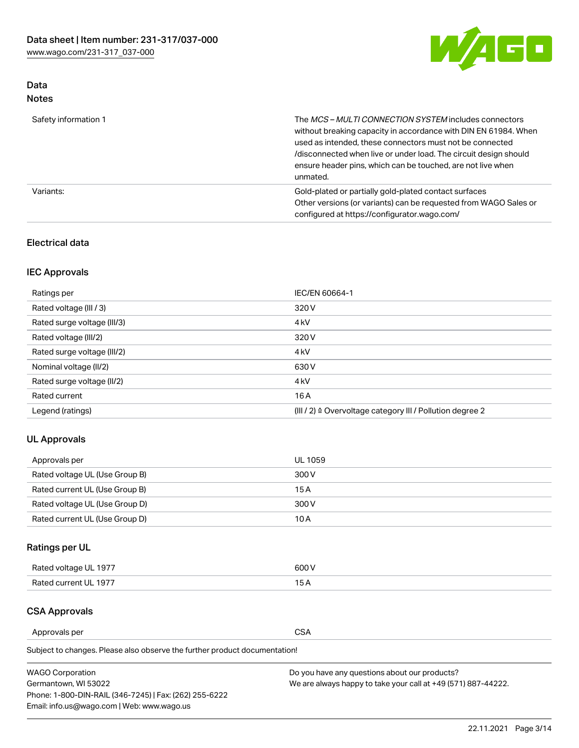

### Data Notes

| Safety information 1 | The <i>MCS – MULTI CONNECTION SYSTEM</i> includes connectors<br>without breaking capacity in accordance with DIN EN 61984. When<br>used as intended, these connectors must not be connected<br>/disconnected when live or under load. The circuit design should<br>ensure header pins, which can be touched, are not live when<br>unmated. |
|----------------------|--------------------------------------------------------------------------------------------------------------------------------------------------------------------------------------------------------------------------------------------------------------------------------------------------------------------------------------------|
| Variants:            | Gold-plated or partially gold-plated contact surfaces<br>Other versions (or variants) can be requested from WAGO Sales or<br>configured at https://configurator.wago.com/                                                                                                                                                                  |

### Electrical data

### IEC Approvals

| Ratings per                 | IEC/EN 60664-1                                                        |
|-----------------------------|-----------------------------------------------------------------------|
| Rated voltage (III / 3)     | 320 V                                                                 |
| Rated surge voltage (III/3) | 4 <sub>k</sub> V                                                      |
| Rated voltage (III/2)       | 320 V                                                                 |
| Rated surge voltage (III/2) | 4 <sub>k</sub> V                                                      |
| Nominal voltage (II/2)      | 630 V                                                                 |
| Rated surge voltage (II/2)  | 4 <sub>k</sub> V                                                      |
| Rated current               | 16A                                                                   |
| Legend (ratings)            | $(III / 2)$ $\triangle$ Overvoltage category III / Pollution degree 2 |

### UL Approvals

| Approvals per                  | UL 1059 |
|--------------------------------|---------|
| Rated voltage UL (Use Group B) | 300 V   |
| Rated current UL (Use Group B) | 15 A    |
| Rated voltage UL (Use Group D) | 300 V   |
| Rated current UL (Use Group D) | 10 A    |

# Ratings per UL

| Rated voltage UL 1977 | 600 V         |
|-----------------------|---------------|
| Rated current UL 1977 | $\sim$ $\sim$ |

### CSA Approvals

Approvals per CSA

Subject to changes. Please also observe the further product documentation!

| <b>WAGO Corporation</b>                                | Do you have any questions about our products?                 |
|--------------------------------------------------------|---------------------------------------------------------------|
| Germantown, WI 53022                                   | We are always happy to take your call at +49 (571) 887-44222. |
| Phone: 1-800-DIN-RAIL (346-7245)   Fax: (262) 255-6222 |                                                               |
| Email: info.us@wago.com   Web: www.wago.us             |                                                               |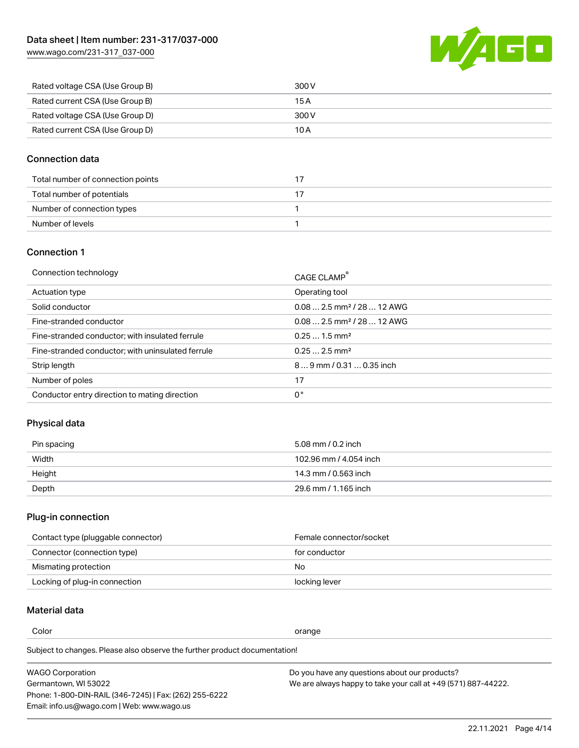[www.wago.com/231-317\\_037-000](http://www.wago.com/231-317_037-000)



| Rated voltage CSA (Use Group B) | 300 V |
|---------------------------------|-------|
| Rated current CSA (Use Group B) | 15 A  |
| Rated voltage CSA (Use Group D) | 300 V |
| Rated current CSA (Use Group D) | 10 A  |

#### Connection data

| Total number of connection points |  |
|-----------------------------------|--|
| Total number of potentials        |  |
| Number of connection types        |  |
| Number of levels                  |  |

### Connection 1

| Connection technology                             | CAGE CLAMP®                             |
|---------------------------------------------------|-----------------------------------------|
| Actuation type                                    | Operating tool                          |
| Solid conductor                                   | $0.08$ 2.5 mm <sup>2</sup> / 28  12 AWG |
| Fine-stranded conductor                           | $0.082.5$ mm <sup>2</sup> / 28  12 AWG  |
| Fine-stranded conductor; with insulated ferrule   | $0.251.5$ mm <sup>2</sup>               |
| Fine-stranded conductor; with uninsulated ferrule | $0.252.5$ mm <sup>2</sup>               |
| Strip length                                      | $89$ mm / 0.31  0.35 inch               |
| Number of poles                                   | 17                                      |
| Conductor entry direction to mating direction     | 0°                                      |
|                                                   |                                         |

### Physical data

| Pin spacing | 5.08 mm / 0.2 inch     |
|-------------|------------------------|
| Width       | 102.96 mm / 4.054 inch |
| Height      | 14.3 mm / 0.563 inch   |
| Depth       | 29.6 mm / 1.165 inch   |

# Plug-in connection

| Contact type (pluggable connector) | Female connector/socket |
|------------------------------------|-------------------------|
| Connector (connection type)        | for conductor           |
| Mismating protection               | No.                     |
| Locking of plug-in connection      | locking lever           |

### Material data

Color contracts and contracts of the contracts of the contracts of the contracts of the contracts of the contracts of the contracts of the contracts of the contracts of the contracts of the contracts of the contracts of th

Subject to changes. Please also observe the further product documentation! Material group I

| <b>WAGO Corporation</b>                                | Do you have any questions about our products?                 |
|--------------------------------------------------------|---------------------------------------------------------------|
| Germantown, WI 53022                                   | We are always happy to take your call at +49 (571) 887-44222. |
| Phone: 1-800-DIN-RAIL (346-7245)   Fax: (262) 255-6222 |                                                               |
| Email: info.us@wago.com   Web: www.wago.us             |                                                               |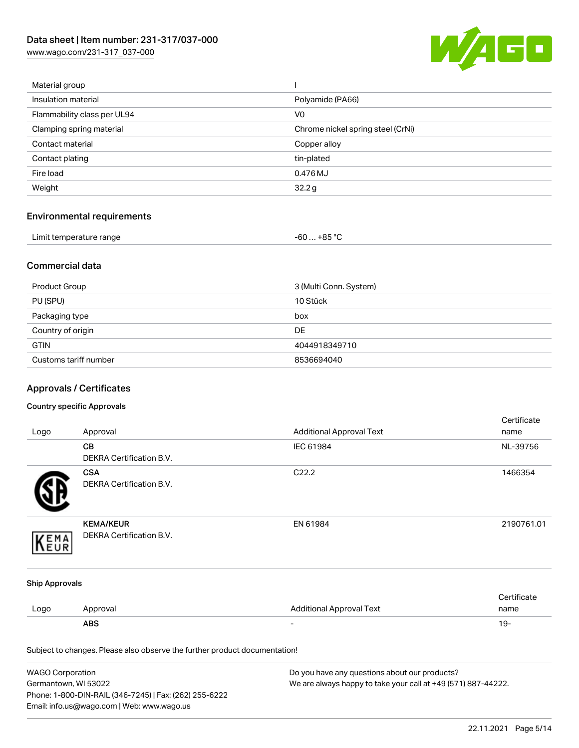[www.wago.com/231-317\\_037-000](http://www.wago.com/231-317_037-000)



| Material group              |                                   |
|-----------------------------|-----------------------------------|
| Insulation material         | Polyamide (PA66)                  |
| Flammability class per UL94 | V <sub>0</sub>                    |
| Clamping spring material    | Chrome nickel spring steel (CrNi) |
| Contact material            | Copper alloy                      |
| Contact plating             | tin-plated                        |
| Fire load                   | 0.476 MJ                          |
| Weight                      | 32.2g                             |
|                             |                                   |

# Environmental requirements

| Limit temperature range<br>. | . +85 °Ր<br>-60 |  |
|------------------------------|-----------------|--|
|------------------------------|-----------------|--|

### Commercial data

| Product Group         | 3 (Multi Conn. System) |
|-----------------------|------------------------|
| PU (SPU)              | 10 Stück               |
| Packaging type        | box                    |
| Country of origin     | <b>DE</b>              |
| <b>GTIN</b>           | 4044918349710          |
| Customs tariff number | 8536694040             |

# Approvals / Certificates

#### Country specific Approvals

|                       |                                                                            |                                 | Certificate |
|-----------------------|----------------------------------------------------------------------------|---------------------------------|-------------|
| Logo                  | Approval                                                                   | <b>Additional Approval Text</b> | name        |
|                       | CB                                                                         | IEC 61984                       | NL-39756    |
|                       | DEKRA Certification B.V.                                                   |                                 |             |
|                       | <b>CSA</b>                                                                 | C22.2                           | 1466354     |
|                       | <b>DEKRA Certification B.V.</b>                                            |                                 |             |
|                       | <b>KEMA/KEUR</b>                                                           | EN 61984                        | 2190761.01  |
| EMA                   | DEKRA Certification B.V.                                                   |                                 |             |
| <b>Ship Approvals</b> |                                                                            |                                 |             |
|                       |                                                                            |                                 | Certificate |
| Logo                  | Approval                                                                   | <b>Additional Approval Text</b> | name        |
|                       | <b>ABS</b>                                                                 |                                 | $19 -$      |
|                       | Subject to changes. Please also observe the further product documentation! |                                 |             |

| WAGO Corporation                                       | Do you have any questions about our products?                 |
|--------------------------------------------------------|---------------------------------------------------------------|
| Germantown, WI 53022                                   | We are always happy to take your call at +49 (571) 887-44222. |
| Phone: 1-800-DIN-RAIL (346-7245)   Fax: (262) 255-6222 |                                                               |
| Email: info.us@wago.com   Web: www.wago.us             |                                                               |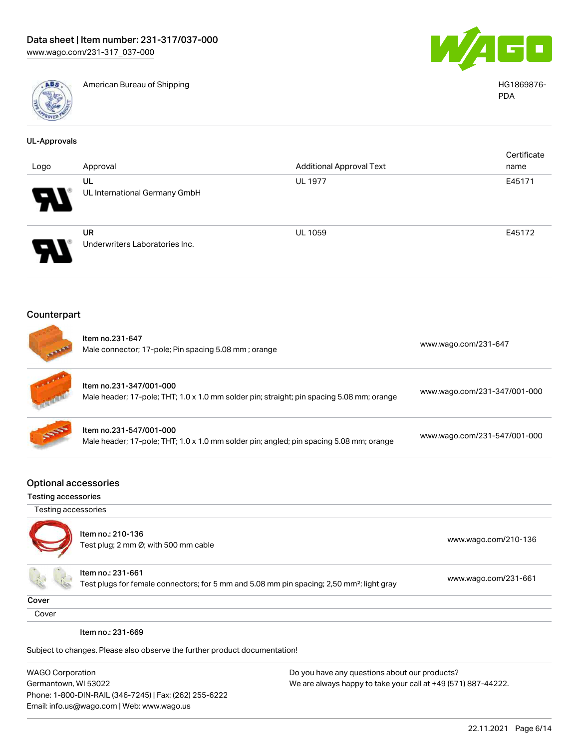

American Bureau of Shipping HG1869876-



PDA

| <b>UL-Approvals</b>                                       |                                                                                                                            |                                 |                              |
|-----------------------------------------------------------|----------------------------------------------------------------------------------------------------------------------------|---------------------------------|------------------------------|
| Logo                                                      | Approval                                                                                                                   | <b>Additional Approval Text</b> | Certificate<br>name          |
|                                                           | UL                                                                                                                         | <b>UL 1977</b>                  | E45171                       |
|                                                           | UL International Germany GmbH                                                                                              |                                 |                              |
|                                                           | <b>UR</b>                                                                                                                  | <b>UL 1059</b>                  | E45172                       |
|                                                           | Underwriters Laboratories Inc.                                                                                             |                                 |                              |
| Counterpart                                               |                                                                                                                            |                                 |                              |
|                                                           | Item no.231-647<br>Male connector; 17-pole; Pin spacing 5.08 mm; orange                                                    |                                 | www.wago.com/231-647         |
|                                                           | Item no.231-347/001-000<br>Male header; 17-pole; THT; 1.0 x 1.0 mm solder pin; straight; pin spacing 5.08 mm; orange       |                                 | www.wago.com/231-347/001-000 |
|                                                           | Item no.231-547/001-000<br>Male header; 17-pole; THT; 1.0 x 1.0 mm solder pin; angled; pin spacing 5.08 mm; orange         |                                 | www.wago.com/231-547/001-000 |
| <b>Optional accessories</b><br><b>Testing accessories</b> |                                                                                                                            |                                 |                              |
| Testing accessories                                       |                                                                                                                            |                                 |                              |
|                                                           | Item no.: 210-136                                                                                                          |                                 |                              |
|                                                           | Test plug; 2 mm Ø; with 500 mm cable                                                                                       |                                 | www.wago.com/210-136         |
|                                                           | Item no.: 231-661<br>Test plugs for female connectors; for 5 mm and 5.08 mm pin spacing; 2,50 mm <sup>2</sup> ; light gray |                                 | www.wago.com/231-661         |
| Cover                                                     |                                                                                                                            |                                 |                              |
| Cover                                                     |                                                                                                                            |                                 |                              |
|                                                           | Item no.: 231-669                                                                                                          |                                 |                              |
|                                                           | Subject to changes. Please also observe the further product documentation!                                                 |                                 |                              |

WAGO Corporation Germantown, WI 53022 Phone: 1-800-DIN-RAIL (346-7245) | Fax: (262) 255-6222 Email: info.us@wago.com | Web: www.wago.us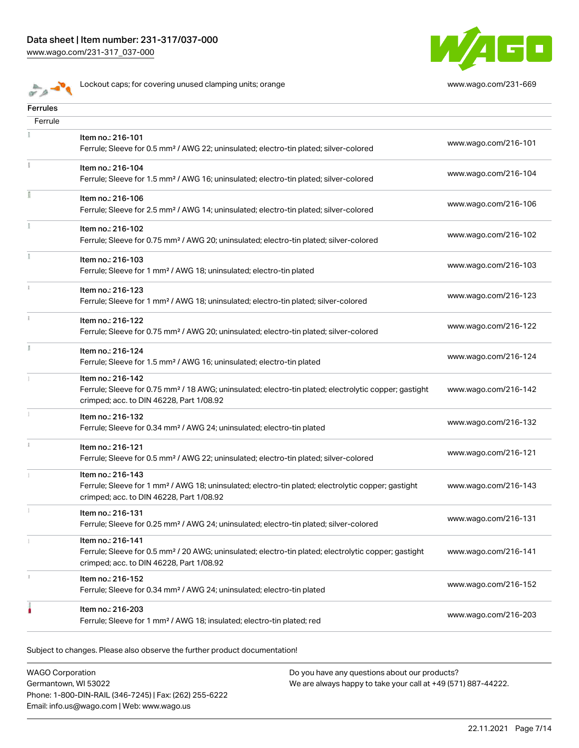

Lockout caps; for covering unused clamping units; orange [www.wago.com/231-669](http://www.wago.com/231-669)

| <b>Ferrules</b> |                                                                                                                                                                                    |                      |
|-----------------|------------------------------------------------------------------------------------------------------------------------------------------------------------------------------------|----------------------|
| Ferrule         |                                                                                                                                                                                    |                      |
|                 | Item no.: 216-101<br>Ferrule; Sleeve for 0.5 mm <sup>2</sup> / AWG 22; uninsulated; electro-tin plated; silver-colored                                                             | www.wago.com/216-101 |
|                 | Item no.: 216-104<br>Ferrule; Sleeve for 1.5 mm <sup>2</sup> / AWG 16; uninsulated; electro-tin plated; silver-colored                                                             | www.wago.com/216-104 |
|                 | Item no.: 216-106<br>Ferrule; Sleeve for 2.5 mm <sup>2</sup> / AWG 14; uninsulated; electro-tin plated; silver-colored                                                             | www.wago.com/216-106 |
| ĭ.              | Item no.: 216-102<br>Ferrule; Sleeve for 0.75 mm <sup>2</sup> / AWG 20; uninsulated; electro-tin plated; silver-colored                                                            | www.wago.com/216-102 |
|                 | Item no.: 216-103<br>Ferrule; Sleeve for 1 mm <sup>2</sup> / AWG 18; uninsulated; electro-tin plated                                                                               | www.wago.com/216-103 |
|                 | Item no.: 216-123<br>Ferrule; Sleeve for 1 mm <sup>2</sup> / AWG 18; uninsulated; electro-tin plated; silver-colored                                                               | www.wago.com/216-123 |
| ī.              | Item no.: 216-122<br>Ferrule; Sleeve for 0.75 mm <sup>2</sup> / AWG 20; uninsulated; electro-tin plated; silver-colored                                                            | www.wago.com/216-122 |
|                 | Item no.: 216-124<br>Ferrule; Sleeve for 1.5 mm <sup>2</sup> / AWG 16; uninsulated; electro-tin plated                                                                             | www.wago.com/216-124 |
|                 | Item no.: 216-142<br>Ferrule; Sleeve for 0.75 mm <sup>2</sup> / 18 AWG; uninsulated; electro-tin plated; electrolytic copper; gastight<br>crimped; acc. to DIN 46228, Part 1/08.92 | www.wago.com/216-142 |
|                 | Item no.: 216-132<br>Ferrule; Sleeve for 0.34 mm <sup>2</sup> / AWG 24; uninsulated; electro-tin plated                                                                            | www.wago.com/216-132 |
|                 | Item no.: 216-121<br>Ferrule; Sleeve for 0.5 mm <sup>2</sup> / AWG 22; uninsulated; electro-tin plated; silver-colored                                                             | www.wago.com/216-121 |
|                 | Item no.: 216-143<br>Ferrule; Sleeve for 1 mm <sup>2</sup> / AWG 18; uninsulated; electro-tin plated; electrolytic copper; gastight<br>crimped; acc. to DIN 46228, Part 1/08.92    | www.wago.com/216-143 |
|                 | Item no.: 216-131<br>Ferrule; Sleeve for 0.25 mm <sup>2</sup> / AWG 24; uninsulated; electro-tin plated; silver-colored                                                            | www.wago.com/216-131 |
|                 | Item no.: 216-141<br>Ferrule; Sleeve for 0.5 mm <sup>2</sup> / 20 AWG; uninsulated; electro-tin plated; electrolytic copper; gastight<br>crimped; acc. to DIN 46228, Part 1/08.92  | www.wago.com/216-141 |
|                 | Item no.: 216-152<br>Ferrule; Sleeve for 0.34 mm <sup>2</sup> / AWG 24; uninsulated; electro-tin plated                                                                            | www.wago.com/216-152 |
|                 | Item no.: 216-203<br>Ferrule; Sleeve for 1 mm <sup>2</sup> / AWG 18; insulated; electro-tin plated; red                                                                            | www.wago.com/216-203 |
|                 |                                                                                                                                                                                    |                      |

Subject to changes. Please also observe the further product documentation!

WAGO Corporation Germantown, WI 53022 Phone: 1-800-DIN-RAIL (346-7245) | Fax: (262) 255-6222 Email: info.us@wago.com | Web: www.wago.us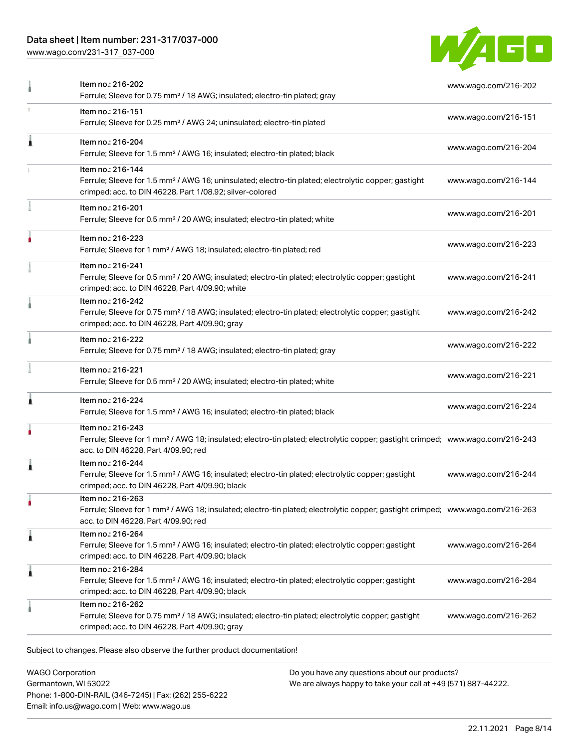### Data sheet | Item number: 231-317/037-000

[www.wago.com/231-317\\_037-000](http://www.wago.com/231-317_037-000)



|   | Item no.: 216-202<br>Ferrule; Sleeve for 0.75 mm <sup>2</sup> / 18 AWG; insulated; electro-tin plated; gray                                                                                             | www.wago.com/216-202 |
|---|---------------------------------------------------------------------------------------------------------------------------------------------------------------------------------------------------------|----------------------|
|   | Item no.: 216-151<br>Ferrule; Sleeve for 0.25 mm <sup>2</sup> / AWG 24; uninsulated; electro-tin plated                                                                                                 | www.wago.com/216-151 |
| 1 | Item no.: 216-204<br>Ferrule; Sleeve for 1.5 mm <sup>2</sup> / AWG 16; insulated; electro-tin plated; black                                                                                             | www.wago.com/216-204 |
|   | Item no.: 216-144<br>Ferrule; Sleeve for 1.5 mm <sup>2</sup> / AWG 16; uninsulated; electro-tin plated; electrolytic copper; gastight<br>crimped; acc. to DIN 46228, Part 1/08.92; silver-colored       | www.wago.com/216-144 |
|   | Item no.: 216-201<br>Ferrule; Sleeve for 0.5 mm <sup>2</sup> / 20 AWG; insulated; electro-tin plated; white                                                                                             | www.wago.com/216-201 |
|   | Item no.: 216-223<br>Ferrule; Sleeve for 1 mm <sup>2</sup> / AWG 18; insulated; electro-tin plated; red                                                                                                 | www.wago.com/216-223 |
|   | Item no.: 216-241<br>Ferrule; Sleeve for 0.5 mm <sup>2</sup> / 20 AWG; insulated; electro-tin plated; electrolytic copper; gastight<br>crimped; acc. to DIN 46228, Part 4/09.90; white                  | www.wago.com/216-241 |
|   | Item no.: 216-242<br>Ferrule; Sleeve for 0.75 mm <sup>2</sup> / 18 AWG; insulated; electro-tin plated; electrolytic copper; gastight<br>crimped; acc. to DIN 46228, Part 4/09.90; gray                  | www.wago.com/216-242 |
|   | Item no.: 216-222<br>Ferrule; Sleeve for 0.75 mm <sup>2</sup> / 18 AWG; insulated; electro-tin plated; gray                                                                                             | www.wago.com/216-222 |
|   | Item no.: 216-221<br>Ferrule; Sleeve for 0.5 mm <sup>2</sup> / 20 AWG; insulated; electro-tin plated; white                                                                                             | www.wago.com/216-221 |
|   | Item no.: 216-224<br>Ferrule; Sleeve for 1.5 mm <sup>2</sup> / AWG 16; insulated; electro-tin plated; black                                                                                             | www.wago.com/216-224 |
|   | Item no.: 216-243<br>Ferrule; Sleeve for 1 mm <sup>2</sup> / AWG 18; insulated; electro-tin plated; electrolytic copper; gastight crimped; www.wago.com/216-243<br>acc. to DIN 46228, Part 4/09.90; red |                      |
|   | Item no.: 216-244<br>Ferrule; Sleeve for 1.5 mm <sup>2</sup> / AWG 16; insulated; electro-tin plated; electrolytic copper; gastight<br>crimped; acc. to DIN 46228, Part 4/09.90; black                  | www.wago.com/216-244 |
|   | Item no.: 216-263<br>Ferrule; Sleeve for 1 mm <sup>2</sup> / AWG 18; insulated; electro-tin plated; electrolytic copper; gastight crimped; www.wago.com/216-263<br>acc. to DIN 46228, Part 4/09.90; red |                      |
| Â | Item no.: 216-264<br>Ferrule; Sleeve for 1.5 mm <sup>2</sup> / AWG 16; insulated; electro-tin plated; electrolytic copper; gastight<br>crimped; acc. to DIN 46228, Part 4/09.90; black                  | www.wago.com/216-264 |
| Â | Item no.: 216-284<br>Ferrule; Sleeve for 1.5 mm <sup>2</sup> / AWG 16; insulated; electro-tin plated; electrolytic copper; gastight<br>crimped; acc. to DIN 46228, Part 4/09.90; black                  | www.wago.com/216-284 |
|   | Item no.: 216-262<br>Ferrule; Sleeve for 0.75 mm <sup>2</sup> / 18 AWG; insulated; electro-tin plated; electrolytic copper; gastight<br>crimped; acc. to DIN 46228, Part 4/09.90; gray                  | www.wago.com/216-262 |

 $\mathfrak g$ ect to changes. Please also observe the further product documentati $\mathfrak o$ 

WAGO Corporation Germantown, WI 53022 Phone: 1-800-DIN-RAIL (346-7245) | Fax: (262) 255-6222 Email: info.us@wago.com | Web: www.wago.us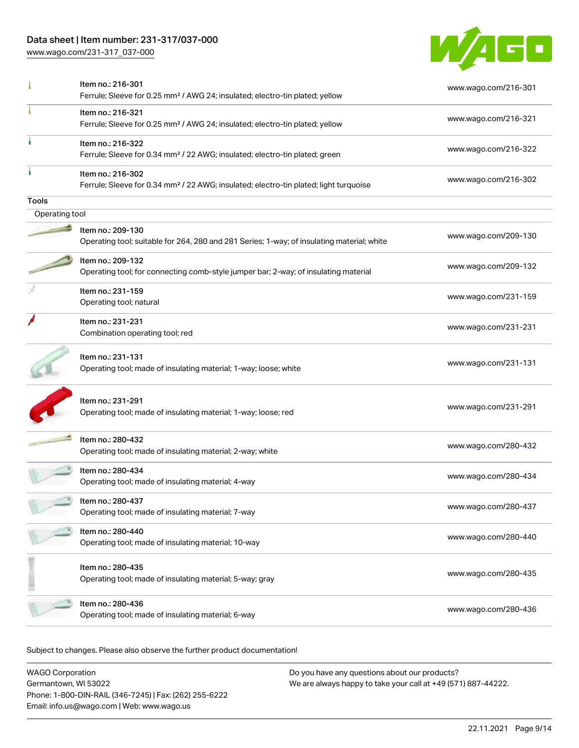### Data sheet | Item number: 231-317/037-000

[www.wago.com/231-317\\_037-000](http://www.wago.com/231-317_037-000)



|                | Item no.: 216-301<br>Ferrule; Sleeve for 0.25 mm <sup>2</sup> / AWG 24; insulated; electro-tin plated; yellow          | www.wago.com/216-301 |
|----------------|------------------------------------------------------------------------------------------------------------------------|----------------------|
|                | Item no.: 216-321<br>Ferrule; Sleeve for 0.25 mm <sup>2</sup> / AWG 24; insulated; electro-tin plated; yellow          | www.wago.com/216-321 |
|                | Item no.: 216-322<br>Ferrule; Sleeve for 0.34 mm <sup>2</sup> / 22 AWG; insulated; electro-tin plated; green           | www.wago.com/216-322 |
|                | Item no.: 216-302<br>Ferrule; Sleeve for 0.34 mm <sup>2</sup> / 22 AWG; insulated; electro-tin plated; light turquoise | www.wago.com/216-302 |
| Tools          |                                                                                                                        |                      |
| Operating tool |                                                                                                                        |                      |
|                | Item no.: 209-130<br>Operating tool; suitable for 264, 280 and 281 Series; 1-way; of insulating material; white        | www.wago.com/209-130 |
|                | Item no.: 209-132<br>Operating tool; for connecting comb-style jumper bar; 2-way; of insulating material               | www.wago.com/209-132 |
|                | Item no.: 231-159<br>Operating tool; natural                                                                           | www.wago.com/231-159 |
|                | Item no.: 231-231<br>Combination operating tool; red                                                                   | www.wago.com/231-231 |
|                | Item no.: 231-131<br>Operating tool; made of insulating material; 1-way; loose; white                                  | www.wago.com/231-131 |
|                | Item no.: 231-291<br>Operating tool; made of insulating material; 1-way; loose; red                                    | www.wago.com/231-291 |
|                | Item no.: 280-432<br>Operating tool; made of insulating material; 2-way; white                                         | www.wago.com/280-432 |
|                | Item no.: 280-434<br>Operating tool; made of insulating material; 4-way                                                | www.wago.com/280-434 |
|                | Item no.: 280-437<br>Operating tool; made of insulating material; 7-way                                                | www.wago.com/280-437 |
|                | Item no.: 280-440<br>Operating tool; made of insulating material; 10-way                                               | www.wago.com/280-440 |
|                | Item no.: 280-435<br>Operating tool; made of insulating material; 5-way; gray                                          | www.wago.com/280-435 |
|                | Item no.: 280-436<br>Operating tool; made of insulating material; 6-way                                                | www.wago.com/280-436 |

Subject to changes. Please also observe the further product documentation!

WAGO Corporation Germantown, WI 53022 Phone: 1-800-DIN-RAIL (346-7245) | Fax: (262) 255-6222 Email: info.us@wago.com | Web: www.wago.us Do you have any questions about our products? We are always happy to take your call at +49 (571) 887-44222.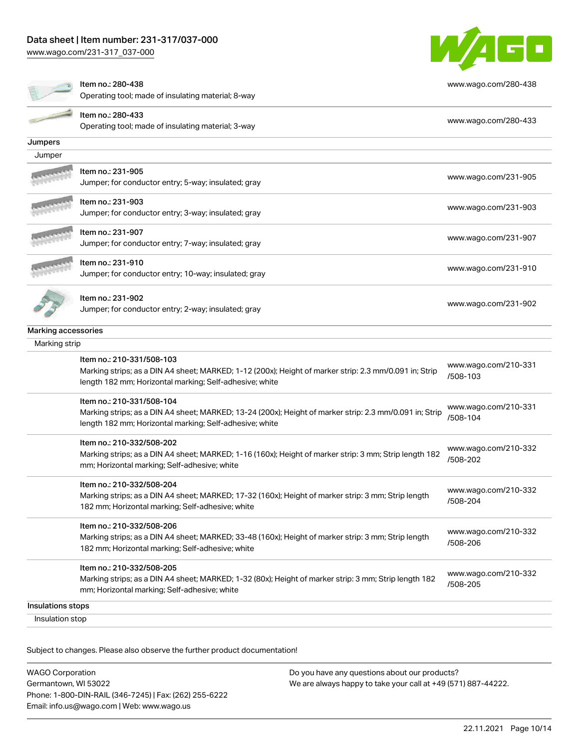[www.wago.com/231-317\\_037-000](http://www.wago.com/231-317_037-000)



| Insulations stops<br>Insulation stop |                                                                                                                                                                                                                  |                                  |
|--------------------------------------|------------------------------------------------------------------------------------------------------------------------------------------------------------------------------------------------------------------|----------------------------------|
|                                      | Marking strips; as a DIN A4 sheet; MARKED; 1-32 (80x); Height of marker strip: 3 mm; Strip length 182<br>mm; Horizontal marking; Self-adhesive; white                                                            | www.wago.com/210-332<br>/508-205 |
|                                      | 182 mm; Horizontal marking; Self-adhesive; white<br>Item no.: 210-332/508-205                                                                                                                                    |                                  |
|                                      | Item no.: 210-332/508-206<br>Marking strips; as a DIN A4 sheet; MARKED; 33-48 (160x); Height of marker strip: 3 mm; Strip length                                                                                 | www.wago.com/210-332<br>/508-206 |
|                                      | Marking strips; as a DIN A4 sheet; MARKED; 17-32 (160x); Height of marker strip: 3 mm; Strip length<br>182 mm; Horizontal marking; Self-adhesive; white                                                          | www.wago.com/210-332<br>/508-204 |
|                                      | Item no.: 210-332/508-202<br>Marking strips; as a DIN A4 sheet; MARKED; 1-16 (160x); Height of marker strip: 3 mm; Strip length 182<br>mm; Horizontal marking; Self-adhesive; white<br>Item no.: 210-332/508-204 | www.wago.com/210-332<br>/508-202 |
|                                      | Item no.: 210-331/508-104<br>Marking strips; as a DIN A4 sheet; MARKED; 13-24 (200x); Height of marker strip: 2.3 mm/0.091 in; Strip<br>length 182 mm; Horizontal marking; Self-adhesive; white                  | www.wago.com/210-331<br>/508-104 |
|                                      | Item no.: 210-331/508-103<br>Marking strips; as a DIN A4 sheet; MARKED; 1-12 (200x); Height of marker strip: 2.3 mm/0.091 in; Strip<br>length 182 mm; Horizontal marking; Self-adhesive; white                   | www.wago.com/210-331<br>/508-103 |
| Marking strip                        |                                                                                                                                                                                                                  |                                  |
| Marking accessories                  |                                                                                                                                                                                                                  |                                  |
|                                      | Item no.: 231-902<br>Jumper; for conductor entry; 2-way; insulated; gray                                                                                                                                         | www.wago.com/231-902             |
|                                      | Item no.: 231-910<br>Jumper; for conductor entry; 10-way; insulated; gray                                                                                                                                        | www.wago.com/231-910             |
|                                      | Item no.: 231-907<br>Jumper; for conductor entry; 7-way; insulated; gray                                                                                                                                         | www.wago.com/231-907             |
|                                      | Item no.: 231-903<br>Jumper; for conductor entry; 3-way; insulated; gray                                                                                                                                         | www.wago.com/231-903             |
|                                      | Item no.: 231-905<br>Jumper; for conductor entry; 5-way; insulated; gray                                                                                                                                         | www.wago.com/231-905             |
| Jumper                               |                                                                                                                                                                                                                  |                                  |
| Jumpers                              |                                                                                                                                                                                                                  |                                  |
|                                      | Item no.: 280-433<br>Operating tool; made of insulating material; 3-way                                                                                                                                          | www.wago.com/280-433             |
|                                      | Item no.: 280-438<br>Operating tool; made of insulating material; 8-way                                                                                                                                          | www.wago.com/280-438             |

Subject to changes. Please also observe the further product documentation!

| <b>WAGO Corporation</b>                                |
|--------------------------------------------------------|
| Germantown, WI 53022                                   |
| Phone: 1-800-DIN-RAIL (346-7245)   Fax: (262) 255-6222 |
| Email: info.us@wago.com   Web: www.wago.us             |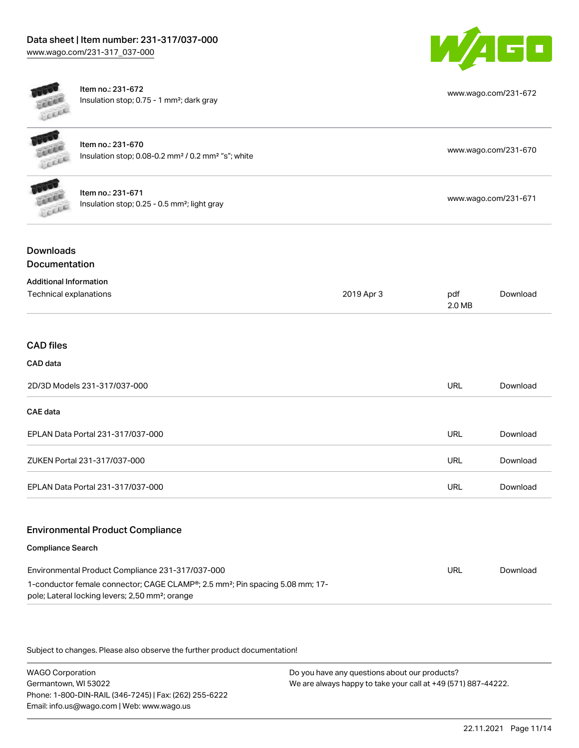### Data sheet | Item number: 231-317/037-000 [www.wago.com/231-317\\_037-000](http://www.wago.com/231-317_037-000)



[www.wago.com/231-672](http://www.wago.com/231-672)

Item no.: 231-672 Insulation stop; 0.75 - 1 mm²; dark gray

| <b>LEEEE</b> | Item no.: 231-670<br>Insulation stop; 0.08-0.2 mm <sup>2</sup> / 0.2 mm <sup>2</sup> "s"; white | www.wago.com/231-670 |
|--------------|-------------------------------------------------------------------------------------------------|----------------------|
| <b>URBER</b> | Item no.: 231-671<br>Insulation stop; 0.25 - 0.5 mm <sup>2</sup> ; light gray                   | www.wago.com/231-671 |
|              |                                                                                                 |                      |

### Downloads Documentation

| <b>Additional Information</b>     |            |               |          |
|-----------------------------------|------------|---------------|----------|
| Technical explanations            | 2019 Apr 3 | pdf<br>2.0 MB | Download |
|                                   |            |               |          |
| <b>CAD files</b>                  |            |               |          |
| CAD data                          |            |               |          |
| 2D/3D Models 231-317/037-000      |            | <b>URL</b>    | Download |
| CAE data                          |            |               |          |
| EPLAN Data Portal 231-317/037-000 |            | <b>URL</b>    | Download |
| ZUKEN Portal 231-317/037-000      |            | <b>URL</b>    | Download |
| EPLAN Data Portal 231-317/037-000 |            | <b>URL</b>    | Download |
|                                   |            |               |          |

### Environmental Product Compliance

#### Compliance Search

| Environmental Product Compliance 231-317/037-000                                                       | URL | Download |
|--------------------------------------------------------------------------------------------------------|-----|----------|
| 1-conductor female connector; CAGE CLAMP <sup>®</sup> ; 2.5 mm <sup>2</sup> ; Pin spacing 5.08 mm; 17- |     |          |
| pole; Lateral locking levers; 2,50 mm <sup>2</sup> ; orange                                            |     |          |

Subject to changes. Please also observe the further product documentation!

WAGO Corporation Germantown, WI 53022 Phone: 1-800-DIN-RAIL (346-7245) | Fax: (262) 255-6222 Email: info.us@wago.com | Web: www.wago.us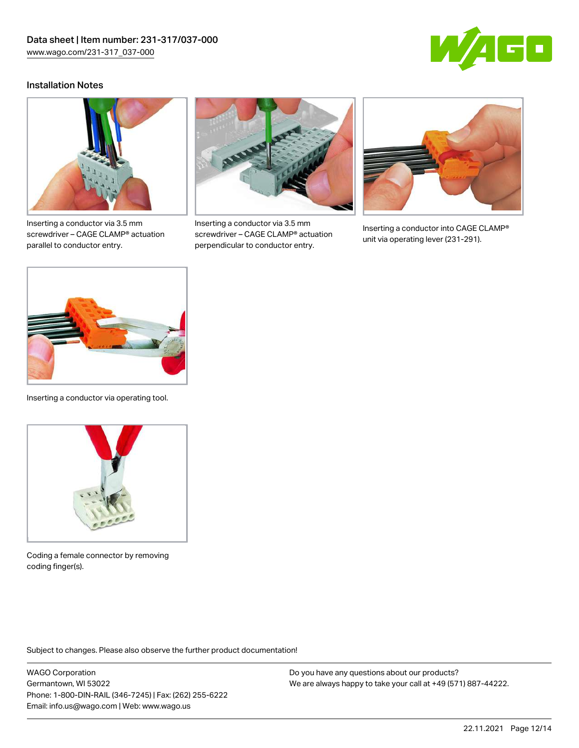

### Installation Notes



Inserting a conductor via 3.5 mm screwdriver – CAGE CLAMP® actuation parallel to conductor entry.



Inserting a conductor via 3.5 mm screwdriver – CAGE CLAMP® actuation perpendicular to conductor entry.



Inserting a conductor into CAGE CLAMP® unit via operating lever (231-291).



Inserting a conductor via operating tool.



Coding a female connector by removing coding finger(s).

Subject to changes. Please also observe the further product documentation!

WAGO Corporation Germantown, WI 53022 Phone: 1-800-DIN-RAIL (346-7245) | Fax: (262) 255-6222 Email: info.us@wago.com | Web: www.wago.us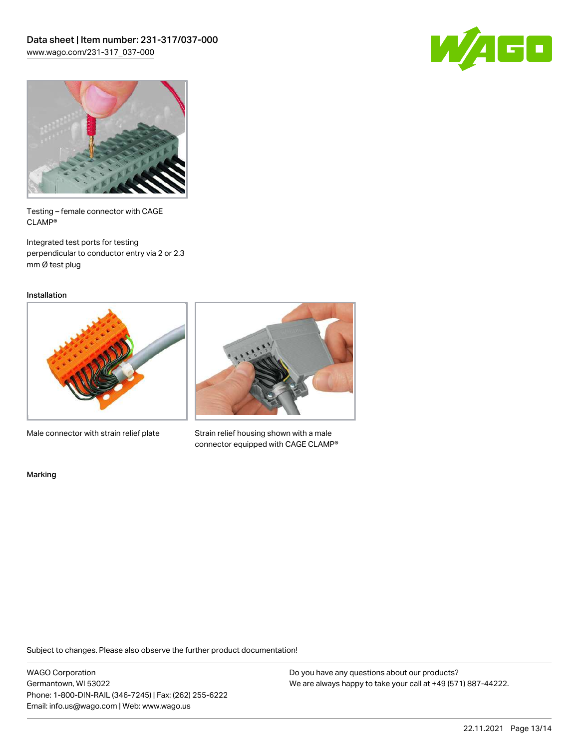



Testing – female connector with CAGE CLAMP®

Integrated test ports for testing perpendicular to conductor entry via 2 or 2.3 mm Ø test plug

Installation



Male connector with strain relief plate



Strain relief housing shown with a male connector equipped with CAGE CLAMP®

Marking

Subject to changes. Please also observe the further product documentation!

WAGO Corporation Germantown, WI 53022 Phone: 1-800-DIN-RAIL (346-7245) | Fax: (262) 255-6222 Email: info.us@wago.com | Web: www.wago.us